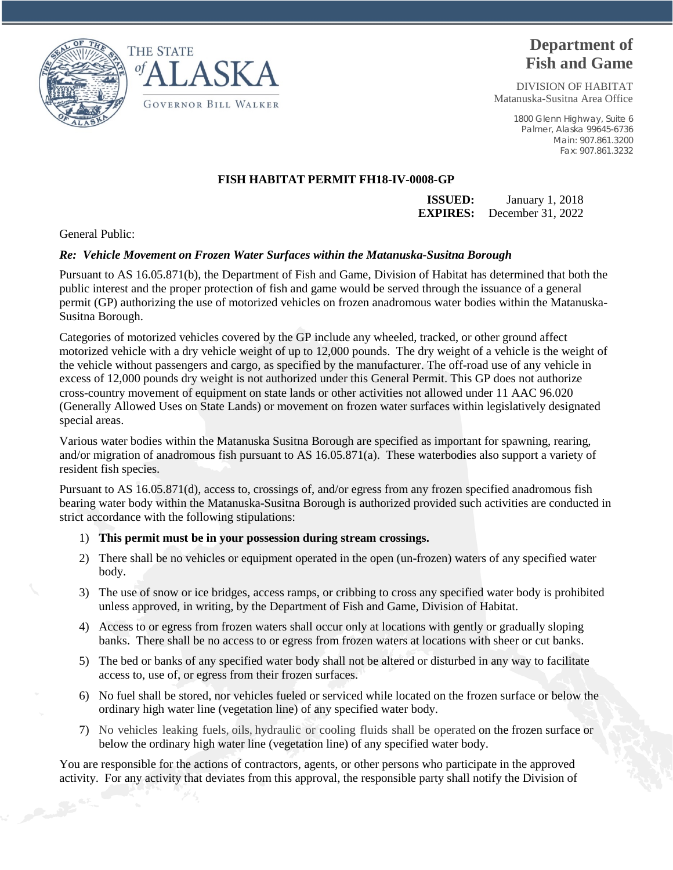



## **Department of Fish and Game**

DIVISION OF HABITAT Matanuska-Susitna Area Office

> 1800 Glenn Highway, Suite 6 Palmer, Alaska 99645-6736 Main: 907.861.3200 Fax: 907.861.3232

## **FISH HABITAT PERMIT FH18-IV-0008-GP**

**ISSUED:** January 1, 2018 **EXPIRES:** December 31, 2022

General Public:

## *Re: Vehicle Movement on Frozen Water Surfaces within the Matanuska-Susitna Borough*

Pursuant to AS 16.05.871(b), the Department of Fish and Game, Division of Habitat has determined that both the public interest and the proper protection of fish and game would be served through the issuance of a general permit (GP) authorizing the use of motorized vehicles on frozen anadromous water bodies within the Matanuska-Susitna Borough.

Categories of motorized vehicles covered by the GP include any wheeled, tracked, or other ground affect motorized vehicle with a dry vehicle weight of up to 12,000 pounds. The dry weight of a vehicle is the weight of the vehicle without passengers and cargo, as specified by the manufacturer. The off-road use of any vehicle in excess of 12,000 pounds dry weight is not authorized under this General Permit. This GP does not authorize cross-country movement of equipment on state lands or other activities not allowed under 11 AAC 96.020 (Generally Allowed Uses on State Lands) or movement on frozen water surfaces within legislatively designated special areas.

Various water bodies within the Matanuska Susitna Borough are specified as important for spawning, rearing, and/or migration of anadromous fish pursuant to AS 16.05.871(a). These waterbodies also support a variety of resident fish species.

Pursuant to AS 16.05.871(d), access to, crossings of, and/or egress from any frozen specified anadromous fish bearing water body within the Matanuska-Susitna Borough is authorized provided such activities are conducted in strict accordance with the following stipulations:

## 1) **This permit must be in your possession during stream crossings.**

- 2) There shall be no vehicles or equipment operated in the open (un-frozen) waters of any specified water body.
- 3) The use of snow or ice bridges, access ramps, or cribbing to cross any specified water body is prohibited unless approved, in writing, by the Department of Fish and Game, Division of Habitat.
- 4) Access to or egress from frozen waters shall occur only at locations with gently or gradually sloping banks. There shall be no access to or egress from frozen waters at locations with sheer or cut banks.
- 5) The bed or banks of any specified water body shall not be altered or disturbed in any way to facilitate access to, use of, or egress from their frozen surfaces.
- 6) No fuel shall be stored, nor vehicles fueled or serviced while located on the frozen surface or below the ordinary high water line (vegetation line) of any specified water body.
- 7) No vehicles leaking fuels, oils, hydraulic or cooling fluids shall be operated on the frozen surface or below the ordinary high water line (vegetation line) of any specified water body.

You are responsible for the actions of contractors, agents, or other persons who participate in the approved activity. For any activity that deviates from this approval, the responsible party shall notify the Division of